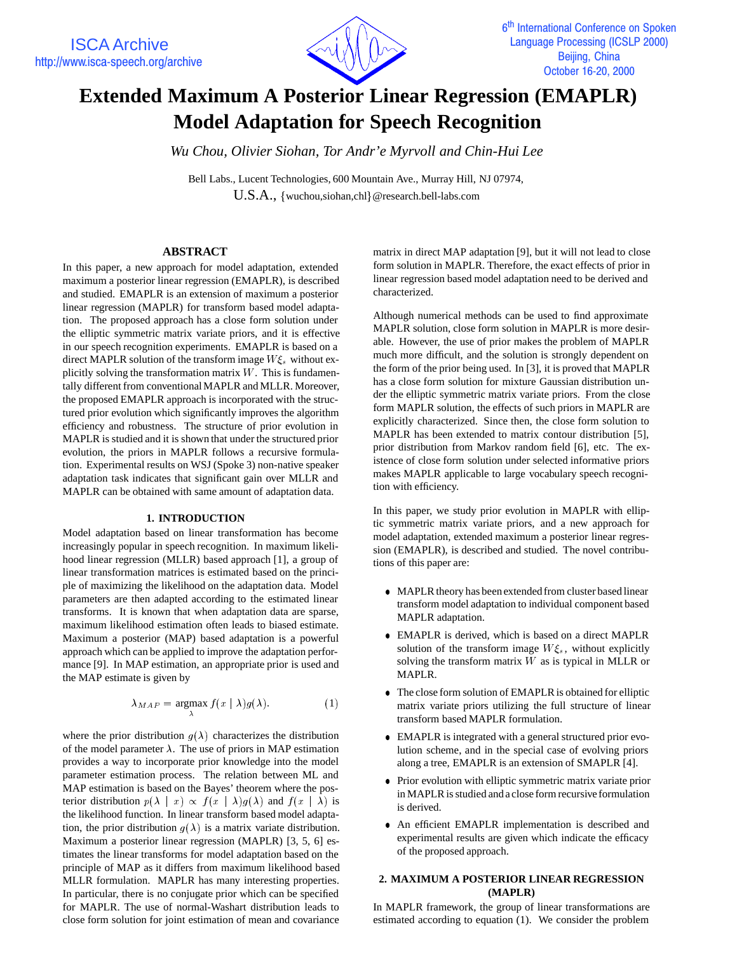

# **Extended Maximum A Posterior Linear Regression (EMAPLR) Model Adaptation for Speech Recognition**

*Wu Chou, Olivier Siohan, Tor Andr'e Myrvoll and Chin-Hui Lee*

Bell Labs., Lucent Technologies, 600 Mountain Ave., Murray Hill, NJ 07974, U.S.A., {wuchou,siohan,chl}@research.bell-labs.com

# **ABSTRACT**

In this paper, a new approach for model adaptation, extended maximum a posterior linear regression (EMAPLR), is described and studied. EMAPLR is an extension of maximum a posterior linear regression (MAPLR) for transform based model adaptation. The proposed approach has a close form solution under the elliptic symmetric matrix variate priors, and it is effective in our speech recognition experiments. EMAPLR is based on a direct MAPLR solution of the transform image  $W \xi_s$  without explicitly solving the transformation matrix  $W$ . This is fundamentally different from conventional MAPLR and MLLR. Moreover, the proposed EMAPLR approach is incorporated with the structured prior evolution which significantly improves the algorithm efficiency and robustness. The structure of prior evolution in MAPLR is studied and it is shown that under the structured prior evolution, the priors in MAPLR follows a recursive formulation. Experimental results on WSJ (Spoke 3) non-native speaker adaptation task indicates that significant gain over MLLR and MAPLR can be obtained with same amount of adaptation data.

### **1. INTRODUCTION**

Model adaptation based on linear transformation has become increasingly popular in speech recognition. In maximum likelihood linear regression (MLLR) based approach [1], a group of linear transformation matrices is estimated based on the principle of maximizing the likelihood on the adaptation data. Model parameters are then adapted according to the estimated linear transforms. It is known that when adaptation data are sparse, maximum likelihood estimation often leads to biased estimate. Maximum a posterior (MAP) based adaptation is a powerful approach which can be applied to improve the adaptation performance [9]. In MAP estimation, an appropriate prior is used and the MAP estimate is given by

$$
\lambda_{MAP} = \underset{\lambda}{\operatorname{argmax}} f(x \mid \lambda) g(\lambda).
$$
 (1)

where the prior distribution  $g(\lambda)$  characterizes the distribution of the model parameter  $\lambda$ . The use of priors in MAP estimation provides a way to incorporate prior knowledge into the model parameter estimation process. The relation between ML and MAP estimation is based on the Bayes' theorem where the posterior distribution  $p(\lambda \mid x) \propto f(x \mid \lambda)g(\lambda)$  and  $f(x \mid \lambda)$  is the likelihood function. In linear transform based model adaptation, the prior distribution  $g(\lambda)$  is a matrix variate distribution. Maximum a posterior linear regression (MAPLR) [3, 5, 6] estimates the linear transforms for model adaptation based on the principle of MAP as it differs from maximum likelihood based MLLR formulation. MAPLR has many interesting properties. In particular, there is no conjugate prior which can be specified for MAPLR. The use of normal-Washart distribution leads to close form solution for joint estimation of mean and covariance matrix in direct MAP adaptation [9], but it will not lead to close form solution in MAPLR. Therefore, the exact effects of prior in linear regression based model adaptation need to be derived and characterized.

Although numerical methods can be used to find approximate MAPLR solution, close form solution in MAPLR is more desirable. However, the use of prior makes the problem of MAPLR much more difficult, and the solution is strongly dependent on the form of the prior being used. In [3], it is proved that MAPLR has a close form solution for mixture Gaussian distribution under the elliptic symmetric matrix variate priors. From the close form MAPLR solution, the effects of such priors in MAPLR are explicitly characterized. Since then, the close form solution to MAPLR has been extended to matrix contour distribution [5], prior distribution from Markov random field [6], etc. The existence of close form solution under selected informative priors makes MAPLR applicable to large vocabulary speech recognition with efficiency.

In this paper, we study prior evolution in MAPLR with elliptic symmetric matrix variate priors, and a new approach for model adaptation, extended maximum a posterior linear regression (EMAPLR), is described and studied. The novel contributions of this paper are:

- MAPLR theory has been extended from cluster based linear transform model adaptation to individual component based MAPLR adaptation.
- EMAPLR is derived, which is based on a direct MAPLR solution of the transform image  $W \xi_s$ , without explicitly solving the transform matrix  $W$  as is typical in MLLR or MAPLR.
- The close form solution of EMAPLR is obtained for elliptic matrix variate priors utilizing the full structure of linear transform based MAPLR formulation.
- EMAPLR is integrated with a general structured prior evolution scheme, and in the special case of evolving priors along a tree, EMAPLR is an extension of SMAPLR [4].
- Prior evolution with elliptic symmetric matrix variate prior in MAPLR is studied and a close form recursive formulation is derived.
- An efficient EMAPLR implementation is described and experimental results are given which indicate the efficacy of the proposed approach.

# **2. MAXIMUM A POSTERIOR LINEAR REGRESSION (MAPLR)**

In MAPLR framework, the group of linear transformations are estimated according to equation (1). We consider the problem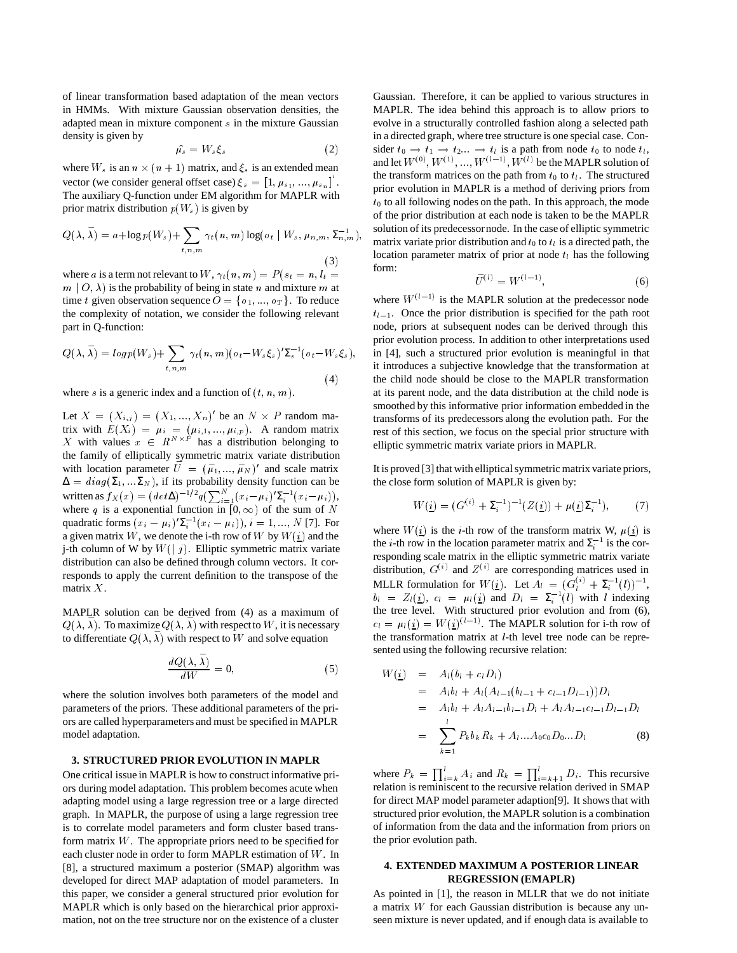of linear transformation based adaptation of the mean vectors in HMMs. With mixture Gaussian observation densities, the adapted mean in mixture component <sup>s</sup> in the mixture Gaussian density is given by

$$
\hat{\mu_s} = W_s \xi_s \tag{2}
$$

where  $W_s$  is an  $n \times (n + 1)$  matrix, and  $\xi_s$  is an extended mean vector (we consider general offset case)  $\xi_s = [1, \mu_{s_1}, ..., \mu_{s_n}]$ . The auxiliary Q-function under EM algorithm for MAPLR with prior matrix distribution  $p(W_s)$  is given by

$$
Q(\lambda, \bar{\lambda}) = a + \log p(W_s) + \sum_{t, n, m} \gamma_t(n, m) \log(o_t | W_s, \mu_{n, m}, \Sigma_{n, m}^{-1}),
$$
\n(3)

where a is a term not relevant to W,  $\gamma_t(n, m) = P (s_t = n, l_t =$  $m | O, \lambda$  is the probability of being in state n and mixture m at time t given observation sequence  $O = \{o_1, ..., o_T\}$ . To reduce the complexity of notation, we consider the following relevant part in Q-function:

$$
Q(\lambda, \bar{\lambda}) = \log p(W_s) + \sum_{t, n, m} \gamma_t(n, m) (\sigma_t - W_s \xi_s)' \Sigma_s^{-1} (\sigma_t - W_s \xi_s),
$$
\n(4)

where s is a generic index and a function of  $(t, n, m)$ .

Let  $X = (X_{i,j}) = (X_1, ..., X_n)'$  be an  $N \times P$  random matrix with  $E(X_i) = \mu_i = (\mu_{i,1}, ..., \mu_{i,p})$ . A random matrix X with values  $x \in R^{N \times P}$  has a distribution belonging to the family of elliptically symmetric matrix variate distribution with location parameter  $\bar{U} = (\bar{\mu}_1, ..., \bar{\mu}_N)'$  and scale matrix  $\Delta = diag(\Sigma_1, ... \Sigma_N)$ , if its probability density function can be written as  $f_X(x) = (det \Delta)^{-1/2} q \left( \sum_{i=1}^N (x_i - \mu_i)' \Sigma_i^{-1} (x_i - \mu_i) \right),$ where q is a exponential function in  $[0,\infty)$  of the sum of N quadratic forms  $(x_i - \mu_i)' \Sigma_i^{-1} (x_i - \mu_i)$ ,  $i = 1, ..., N$  [7]. For a given matrix W, we denote the i-th row of W by  $W(\underline{i})$  and the j-th column of W by  $W(|j)$ . Elliptic symmetric matrix variate distribution can also be defined through column vectors. It corresponds to apply the current definition to the transpose of the matrix <sup>X</sup>.

MAPLR solution can be derived from (4) as a maximum of  $Q(\lambda, \overline{\lambda})$ . To maximize  $Q(\lambda, \overline{\lambda})$  with respect to W, it is necessary to differentiate  $Q(\lambda, \bar{\lambda})$  with respect to W and solve equation

$$
\frac{dQ(\lambda,\bar{\lambda})}{dW} = 0,\t\t(5)
$$

where the solution involves both parameters of the model and parameters of the priors. These additional parameters of the priors are called hyperparameters and must be specified in MAPLR model adaptation.

#### **3. STRUCTURED PRIOR EVOLUTION IN MAPLR**

One critical issue in MAPLR is how to construct informative priors during model adaptation. This problem becomes acute when adapting model using a large regression tree or a large directed graph. In MAPLR, the purpose of using a large regression tree is to correlate model parameters and form cluster based transform matrix  $W$ . The appropriate priors need to be specified for each cluster node in order to form MAPLR estimation of <sup>W</sup>. In [8], a structured maximum a posterior (SMAP) algorithm was developed for direct MAP adaptation of model parameters. In this paper, we consider a general structured prior evolution for MAPLR which is only based on the hierarchical prior approximation, not on the tree structure nor on the existence of a cluster

Gaussian. Therefore, it can be applied to various structures in MAPLR. The idea behind this approach is to allow priors to evolve in a structurally controlled fashion along a selected path in a directed graph, where tree structure is one special case. Consider  $t_0 \rightarrow t_1 \rightarrow t_2... \rightarrow t_l$  is a path from node  $t_0$  to node  $t_l$ , and let  $W^{(0)}, W^{(1)}, ..., W^{(l-1)}, W^{(l)}$  be the MAPLR solution of the transform matrices on the path from  $t_0$  to  $t<sub>l</sub>$ . The structured prior evolution in MAPLR is a method of deriving priors from  $t_0$  to all following nodes on the path. In this approach, the mode of the prior distribution at each node is taken to be the MAPLR solution of its predecessornode. In the case of elliptic symmetric matrix variate prior distribution and  $t_0$  to  $t_i$  is a directed path, the location parameter matrix of prior at node  $t_l$  has the following form:

$$
\bar{U}^{(l)} = W^{(l-1)},\tag{6}
$$

where  $W^{(l-1)}$  is the MAPLR solution at the predecessor node  $t_{l-1}$ . Once the prior distribution is specified for the path root node, priors at subsequent nodes can be derived through this prior evolution process. In addition to other interpretations used in [4], such a structured prior evolution is meaningful in that it introduces a subjective knowledge that the transformation at the child node should be close to the MAPLR transformation at its parent node, and the data distribution at the child node is smoothed by this informative prior information embedded in the transforms of its predecessors along the evolution path. For the rest of this section, we focus on the special prior structure with elliptic symmetric matrix variate priors in MAPLR.

It is proved [3] that with elliptical symmetric matrix variate priors, the close form solution of MAPLR is given by:

$$
W(\underline{i}) = (G^{(i)} + \Sigma_i^{-1})^{-1} (Z(\underline{i})) + \mu(\underline{i}) \Sigma_i^{-1}), \tag{7}
$$

where  $W(i)$  is the *i*-th row of the transform matrix W,  $\mu(i)$  is the *i*-th row in the location parameter matrix and  $\Sigma_i^{-1}$  is the corresponding scale matrix in the elliptic symmetric matrix variate distribution,  $G^{(1)}$  and  $Z^{(1)}$  are corresponding matrices used in MLLR formulation for  $W(\underline{i})$ . Let  $A_l = (G_l^{(i)} + \Sigma_i^{-1}(l))^{-1}$ ,  $b_l = Z_l (\underline{i})$ ,  $c_l = \mu_l (\underline{i})$  and  $D_l = \Sigma_i^{-1} (l)$  with l indexing the tree level. With structured prior evolution and from (6),  $c_l = \mu_l(i) = W(i)^{(l-1)}$ . The MAPLR solution for i-th row of the transformation matrix at  $l$ -th level tree node can be represented using the following recursive relation:

$$
W(\underline{i}) = A_l(b_l + c_l D_l)
$$
  
=  $A_l b_l + A_l (A_{l-1}(b_{l-1} + c_{l-1} D_{l-1})) D_l$   
=  $A_l b_l + A_l A_{l-1} b_{l-1} D_l + A_l A_{l-1} c_{l-1} D_{l-1} D_l$   
= 
$$
\sum_{k=1}^l P_k b_k R_k + A_{l} \dots A_0 c_0 D_0 \dots D_l
$$
(8)

where  $P_k = \prod_{i=k}^k A_i$  and  $R_k = \prod_{i=k+1}^k D_i$ . This recursive relation is reminiscent to the recursive relation derived in SMAP for direct MAP model parameter adaption[9]. It shows that with structured prior evolution, the MAPLR solution is a combination of information from the data and the information from priors on the prior evolution path.

## **4. EXTENDED MAXIMUM A POSTERIOR LINEAR REGRESSION (EMAPLR)**

As pointed in [1], the reason in MLLR that we do not initiate a matrix <sup>W</sup> for each Gaussian distribution is because any unseen mixture is never updated, and if enough data is available to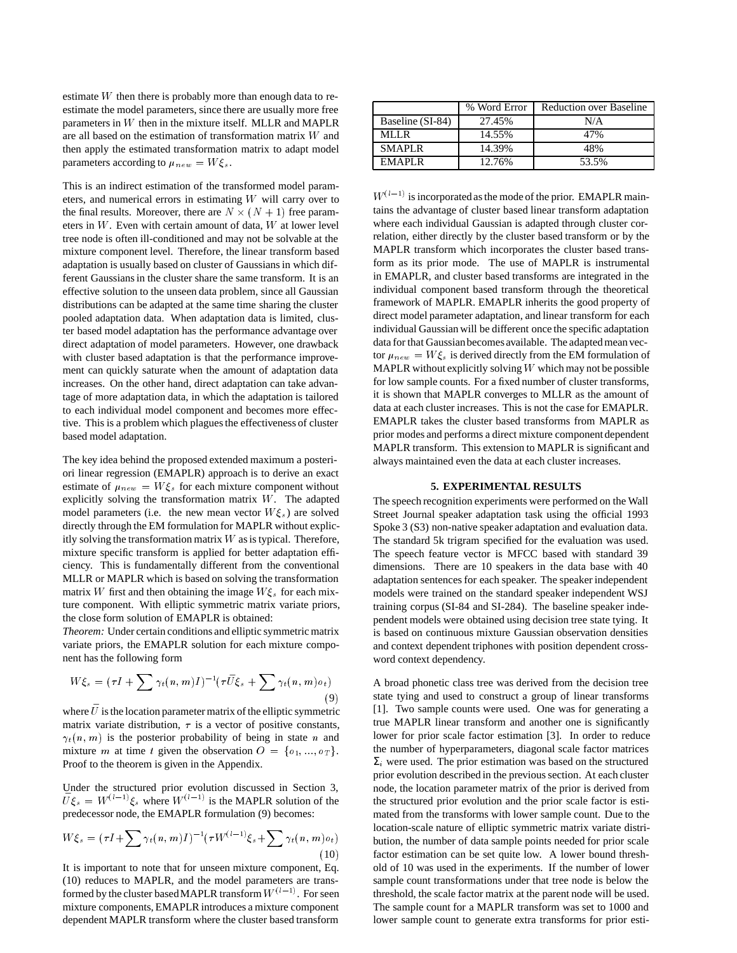estimate W then there is probably more than enough data to reestimate the model parameters, since there are usually more free parameters in <sup>W</sup> then in the mixture itself. MLLR and MAPLR are all based on the estimation of transformation matrix W and then apply the estimated transformation matrix to adapt model parameters according to  $\mu_{new} = W \xi_s$ .

This is an indirect estimation of the transformed model parameters, and numerical errors in estimating <sup>W</sup> will carry over to the final results. Moreover, there are  $N \times (N + 1)$  free parameters in <sup>W</sup>. Even with certain amount of data, <sup>W</sup> at lower level tree node is often ill-conditioned and may not be solvable at the mixture component level. Therefore, the linear transform based adaptation is usually based on cluster of Gaussians in which different Gaussians in the cluster share the same transform. It is an effective solution to the unseen data problem, since all Gaussian distributions can be adapted at the same time sharing the cluster pooled adaptation data. When adaptation data is limited, cluster based model adaptation has the performance advantage over direct adaptation of model parameters. However, one drawback with cluster based adaptation is that the performance improvement can quickly saturate when the amount of adaptation data increases. On the other hand, direct adaptation can take advantage of more adaptation data, in which the adaptation is tailored to each individual model component and becomes more effective. This is a problem which plagues the effectiveness of cluster based model adaptation.

The key idea behind the proposed extended maximum a posteriori linear regression (EMAPLR) approach is to derive an exact estimate of  $\mu_{new} = W \xi_s$  for each mixture component without explicitly solving the transformation matrix <sup>W</sup>. The adapted model parameters (i.e. the new mean vector  $W\xi_s$ ) are solved directly through the EM formulation for MAPLR without explicitly solving the transformation matrix  $W$  as is typical. Therefore, mixture specific transform is applied for better adaptation efficiency. This is fundamentally different from the conventional MLLR or MAPLR which is based on solving the transformation matrix W first and then obtaining the image  $W \xi_s$  for each mixture component. With elliptic symmetric matrix variate priors, the close form solution of EMAPLR is obtained:

*Theorem:* Under certain conditions and elliptic symmetric matrix variate priors, the EMAPLR solution for each mixture component has the following form

$$
W\xi_s = (\tau I + \sum \gamma_t(n, m)I)^{-1} (\tau \bar{U}\xi_s + \sum \gamma_t(n, m) o_t)
$$
\n<sup>(9)</sup>

where  $\bar{U}$  is the location parameter matrix of the elliptic symmetric matrix variate distribution,  $\tau$  is a vector of positive constants,  $\gamma_t(n, m)$  is the posterior probability of being in state n and mixture m at time t given the observation  $O = \{o_1, ..., o_T\}.$ Proof to the theorem is given in the Appendix.

Under the structured prior evolution discussed in Section 3,  $\bar{U}\xi_s = W^{(l-1)}\xi_s$  where  $W^{(l-1)}$  is the MAPLR solution of the predecessor node, the EMAPLR formulation (9) becomes:

$$
W\xi_s = (\tau I + \sum \gamma_t(n, m)I)^{-1} (\tau W^{(l-1)}\xi_s + \sum \gamma_t(n, m)\sigma_t)
$$
\n(10)

It is important to note that for unseen mixture component, Eq. (10) reduces to MAPLR, and the model parameters are transformed by the cluster based MAPLR transform  $W^{(l-1)}$  . For seen mixture components, EMAPLR introduces a mixture component dependent MAPLR transform where the cluster based transform

|                  | % Word Error | <b>Reduction over Baseline</b> |
|------------------|--------------|--------------------------------|
| Baseline (SI-84) | 27.45%       | N/A                            |
| MLLR.            | 14.55%       | 47%                            |
| <b>SMAPLR</b>    | 14.39%       | 48%                            |
| EMAPLR           | 12.76%       | 53.5%                          |

 $W^{(l-1)}$  is incorporated as the mode of the prior. EMAPLR maintains the advantage of cluster based linear transform adaptation where each individual Gaussian is adapted through cluster correlation, either directly by the cluster based transform or by the MAPLR transform which incorporates the cluster based transform as its prior mode. The use of MAPLR is instrumental in EMAPLR, and cluster based transforms are integrated in the individual component based transform through the theoretical framework of MAPLR. EMAPLR inherits the good property of direct model parameter adaptation, and linear transform for each individual Gaussian will be different once the specific adaptation data for that Gaussianbecomes available. The adapted mean vector  $\mu_{new} = W \xi_s$  is derived directly from the EM formulation of MAPLR without explicitly solving  $W$  which may not be possible for low sample counts. For a fixed number of cluster transforms, it is shown that MAPLR converges to MLLR as the amount of data at each cluster increases. This is not the case for EMAPLR. EMAPLR takes the cluster based transforms from MAPLR as prior modes and performs a direct mixture component dependent MAPLR transform. This extension to MAPLR is significant and always maintained even the data at each cluster increases.

#### **5. EXPERIMENTAL RESULTS**

The speech recognition experiments were performed on the Wall Street Journal speaker adaptation task using the official 1993 Spoke 3 (S3) non-native speaker adaptation and evaluation data. The standard 5k trigram specified for the evaluation was used. The speech feature vector is MFCC based with standard 39 dimensions. There are 10 speakers in the data base with 40 adaptation sentences for each speaker. The speaker independent models were trained on the standard speaker independent WSJ training corpus (SI-84 and SI-284). The baseline speaker independent models were obtained using decision tree state tying. It is based on continuous mixture Gaussian observation densities and context dependent triphones with position dependent crossword context dependency.

A broad phonetic class tree was derived from the decision tree state tying and used to construct a group of linear transforms [1]. Two sample counts were used. One was for generating a true MAPLR linear transform and another one is significantly lower for prior scale factor estimation [3]. In order to reduce the number of hyperparameters, diagonal scale factor matrices  $\Sigma_i$  were used. The prior estimation was based on the structured prior evolution described in the previous section. At each cluster node, the location parameter matrix of the prior is derived from the structured prior evolution and the prior scale factor is estimated from the transforms with lower sample count. Due to the location-scale nature of elliptic symmetric matrix variate distribution, the number of data sample points needed for prior scale factor estimation can be set quite low. A lower bound threshold of 10 was used in the experiments. If the number of lower sample count transformations under that tree node is below the threshold, the scale factor matrix at the parent node will be used. The sample count for a MAPLR transform was set to 1000 and lower sample count to generate extra transforms for prior esti-